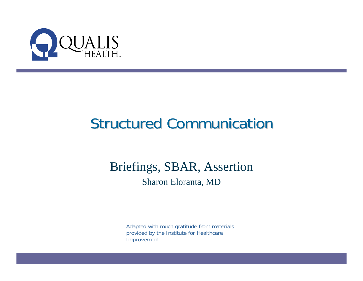

### **Structured Communication**

#### Briefings, SBAR, Assertion Sharon Eloranta, MD

Adapted with much gratitude from materials provided by the Institute for Healthcare Improvement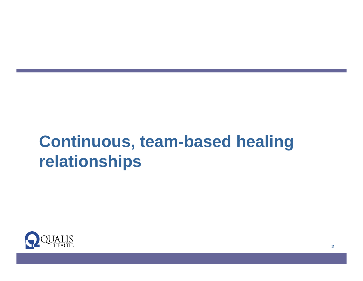### **Continuous, team-based healing relationships**

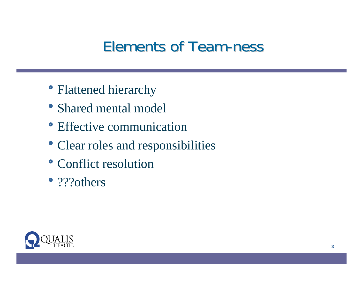### Elements of Team-ness

- Flattened hierarchy
- Shared mental model
- Effective communication
- Clear roles and responsibilities
- Conflict resolution
- ???others

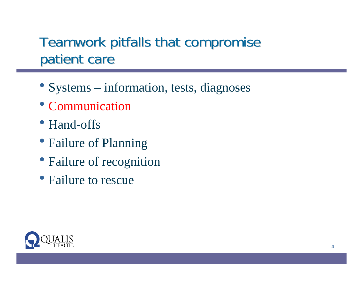#### Teamwork pitfalls that compromise patient care

- Systems information, tests, diagnoses
- Communication
- Hand-offs
- Failure of Planning
- Failure of recognition
- Failure to rescue

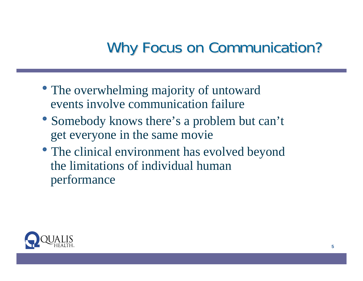### Why Focus on Communication?

- The overwhelming majority of untoward events involve communication failure
- Somebody knows there's a problem but can't get everyone in the same movie
- The clinical environment has evolved beyond the limitations of individual human performance

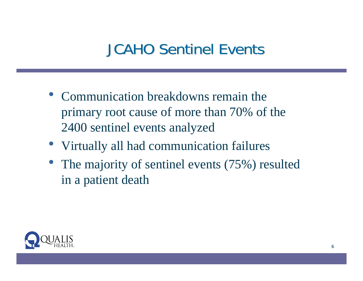### **JCAHO Sentinel Events**

- Communication breakdowns remain the primary root cause of more than 70% of the 2400 sentinel events analyzed
- Virtually all had communication failures
- The majority of sentinel events  $(75%)$  resulted in a patient death

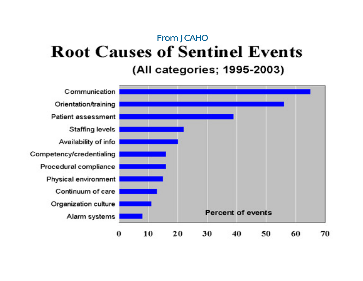#### From JCAHO **Root Causes of Sentinel Events** (All categories; 1995-2003)

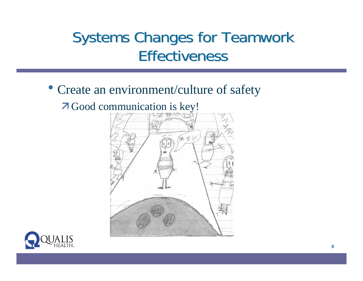#### Systems Changes for Teamwork **Effectiveness**

#### • Create an environment/culture of safety

#### $\overline{\phantom{a}}$  Good communication is key!



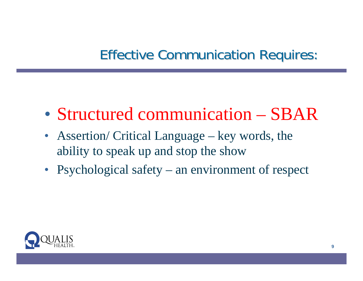#### **Effective Communication Requires:**

- Structured communication SBAR
- Assertion/ Critical Language key words, the ability to speak up and stop the show
- Psychological safety an environment of respect

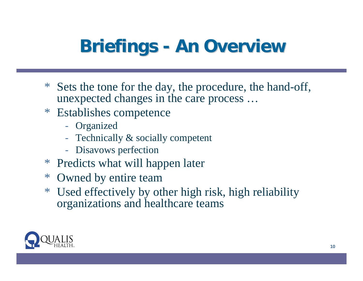# **Briefings - An Overview**

- \* Sets the tone for the day, the procedure, the hand-off, unexpected changes in the care process …
- \* Establishes competence
	- Organized
	- Technically & socially competent
	- Disavows perfection
- \* Predicts what will happen later
- \* Owned by entire team
- \* Used effectively by other high risk, high reliability organizations and healthcare teams

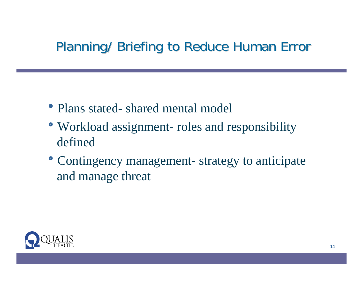#### Planning/ Briefing to Reduce Human Error

- Plans stated- shared mental model
- Workload assignment- roles and responsibility defined
- Contingency management- strategy to anticipate and manage threat

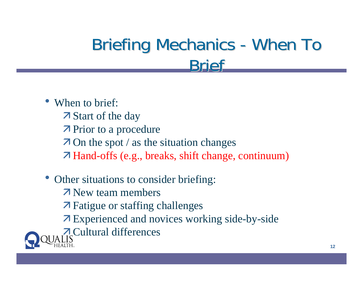# Briefing Mechanics - When To **Rrief**

- When to brief: **Z** Start of the day  $\overline{\phantom{a}}$  Prior to a procedure  $\overline{z}$  On the spot / as the situation changes Ê Hand-offs (e.g., breaks, shift change, continuum)
- Other situations to consider briefing: **Z** New team members  $\overline{\phantom{a}}$  Fatigue or staffing challenges Ê Experienced and novices working side-by-side **Z** Cultural differences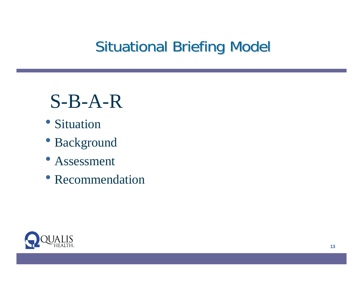### **Situational Briefing Model**

# S-B-A-R

- Situation
- Background
- Assessment
- Recommendation

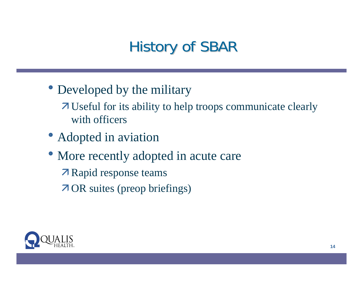### History of SBAR

- Developed by the military
	- $\overline{\phantom{a}}$  Useful for its ability to help troops communicate clearly with officers
- Adopted in aviation
- More recently adopted in acute care
	- **Z** Rapid response teams
	- Ê OR suites (preop briefings)

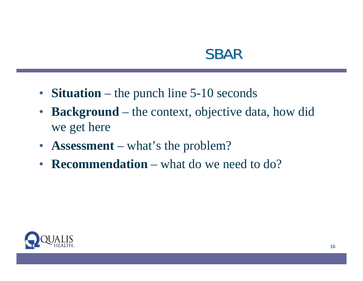#### SBAR

- **Situation** the punch line 5-10 seconds
- **Background**  the context, objective data, how did we get here
- **Assessment** what's the problem?
- **Recommendation** what do we need to do?

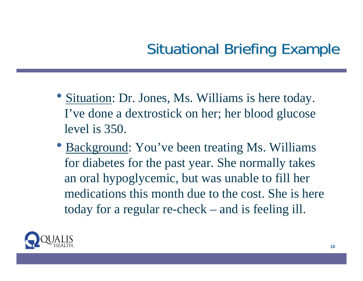### Situational Briefing Example

- Situation: Dr. Jones, Ms. Williams is here today. I've done a dextrostick on her; her blood glucose level is 350.
- Background: You've been treating Ms. Williams for diabetes for the past year. She normally takes an oral hypoglycemic, but was unable to fill her medications this month due to the cost. She is here today for a regular re-check – and is feeling ill.

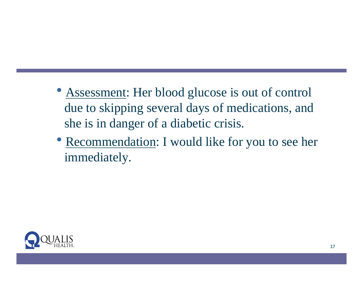- Assessment: Her blood glucose is out of control due to skipping several days of medications, and she is in danger of a diabetic crisis.
- Recommendation: I would like for you to see her immediately.

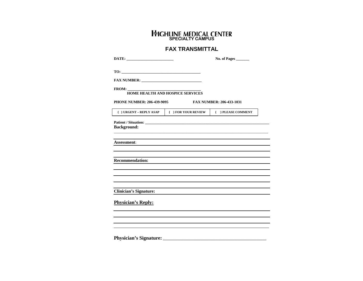#### **SPECIALTY CAMPUS**

#### **FAX TRANSMITTAL**

|                                                                      |                                         | No. of Pages |
|----------------------------------------------------------------------|-----------------------------------------|--------------|
|                                                                      |                                         |              |
|                                                                      |                                         |              |
| FROM:                                                                | <b>HOME HEALTH AND HOSPICE SERVICES</b> |              |
| <b>PHONE NUMBER: 206-439-9095</b><br><b>FAX NUMBER: 206-433-1031</b> |                                         |              |
| { } URGENT - REPLY ASAP   { } FOR YOUR REVIEW   { } PLEASE COMMENT   |                                         |              |
|                                                                      |                                         |              |
| <b>Background:</b>                                                   |                                         |              |
| <b>Assessment:</b>                                                   |                                         |              |
| <b>Recommendation:</b>                                               |                                         |              |
|                                                                      |                                         |              |
| <b>Clinician's Signature:</b>                                        |                                         |              |
| <b>Physician's Reply:</b>                                            |                                         |              |
|                                                                      |                                         |              |
|                                                                      |                                         |              |
|                                                                      |                                         |              |

**Physician's Signature: \_\_\_\_\_\_\_\_\_\_\_\_\_\_\_\_\_\_\_\_\_\_\_\_\_\_\_\_\_\_\_\_\_\_\_\_\_\_\_\_\_\_\_\_\_\_\_\_\_\_\_\_\_\_\_**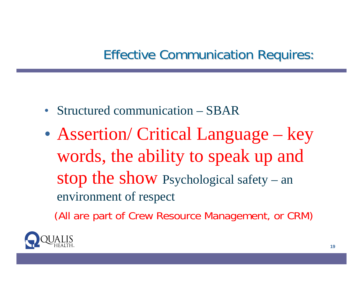#### **Effective Communication Requires:**

- Structured communication SBAR
- Assertion/ Critical Language key words, the ability to speak up and stop the show Psychological safety – an environment of respect

(All are part of Crew Resource Management, or CRM)

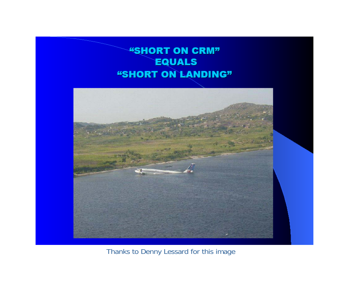#### **"SHORT ON CRM" EQUALS** "SHORT ON LANDING"



Thanks to Denny Lessard for this image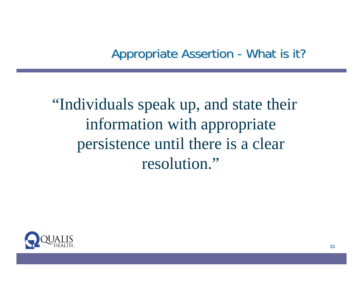Appropriate Assertion -- What is it?

"Individuals speak up, and state their information with appropriate persistence until there is a clear resolution."

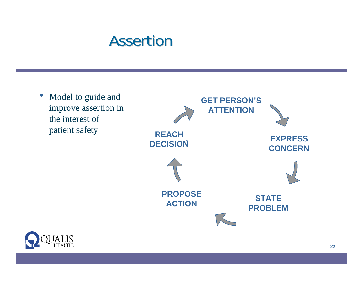#### Assertion



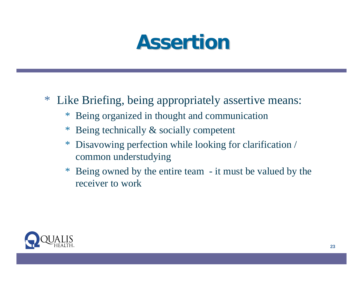# **Assertion Assertion**

- \* Like Briefing, being appropriately assertive means:
	- \* Being organized in thought and communication
	- \* Being technically & socially competent
	- \* Disavowing perfection while looking for clarification / common understudying
	- \* Being owned by the entire team it must be valued by the receiver to work

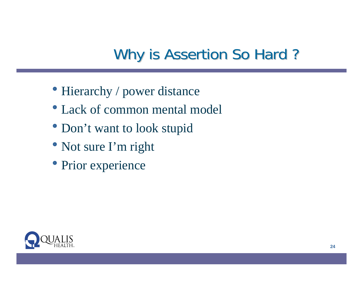### Why is Assertion So Hard?

- Hierarchy / power distance
- Lack of common mental model
- Don't want to look stupid
- Not sure I'm right
- Prior experience

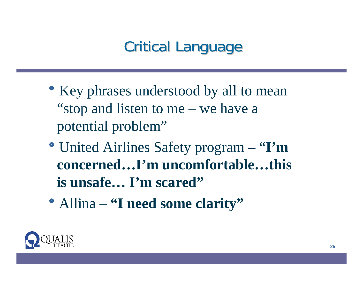### **Critical Language**

- Key phrases understood by all to mean "stop and listen to me – we have a potential problem"
- United Airlines Safety program "I'm **concerned…I'm uncomfortable…this is unsafe… I'm scared"**
- Allina **"I need some clarity"**

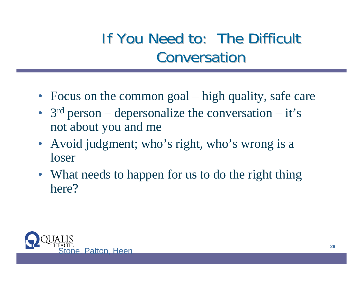### If You Need to: The Difficult **Conversation**

- Focus on the common goal high quality, safe care
- 3<sup>rd</sup> person depersonalize the conversation it's not about you and me
- Avoid judgment; who's right, who's wrong is a loser
- What needs to happen for us to do the right thing here?

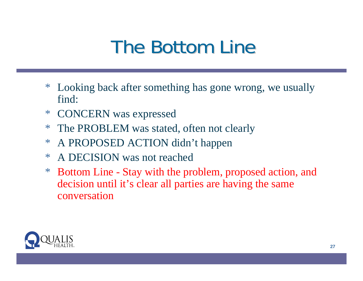# **The Bottom Line**

- \* Looking back after something has gone wrong, we usually find:
- \* CONCERN was expressed
- \* The PROBLEM was stated, often not clearly
- \* A PROPOSED ACTION didn't happen
- \* A DECISION was not reached
- \* Bottom Line Stay with the problem, proposed action, and decision until it's clear all parties are having the same conversation